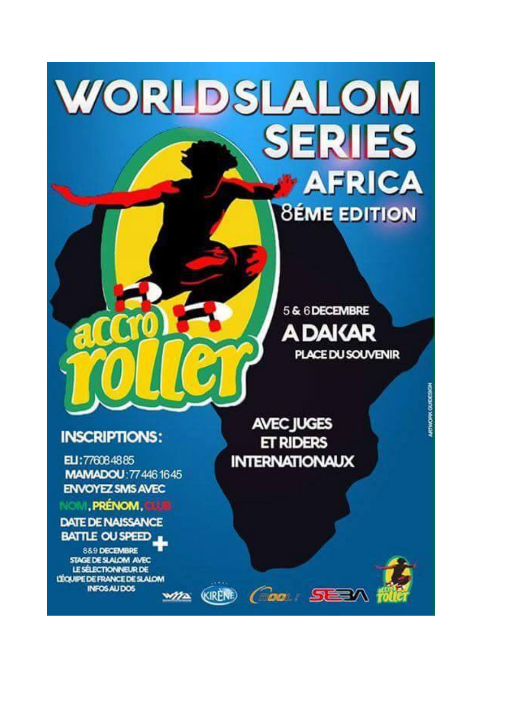## WORLDSLALOM SERIES *FAFRICA <u>SÉME EDITION</u>*

5 & 6 DECEMBRE A DAKAR **PLACE DU SOUVENIR** 

## **INSCRIPTIONS:**

ELI: 776084885 **MAMADOU: 774461645 ENVOYEZ SMS AVEC** 

h ( )

NON**I, PRÉNOM, CLUB** 

**DATE DE NAISSANCE BATTLE OU SPEED .** 

8&9 DECEMBRE **STAGE DE SLALOM AVEC** LE SÉLECTIONNEUR DE L'ÉQUIPE DE FRANCE DE SLALOM W/A KIRENE CAO SEEA **INFOS AU DOS** 

**AVEC JUGES** ET RIDERS **INTERNATIONAUX**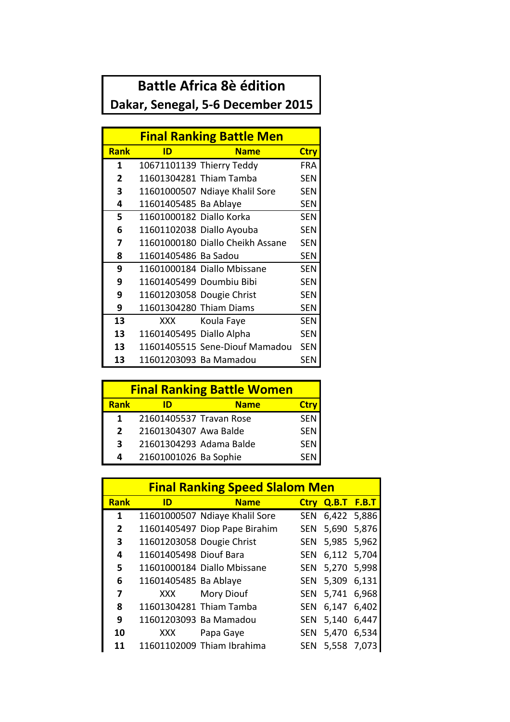## **Battle Africa 8è édition**

Dakar, Senegal, 5-6 December 2015

| <b>Final Ranking Battle Men</b> |                                  |                                |             |  |  |
|---------------------------------|----------------------------------|--------------------------------|-------------|--|--|
| <b>Rank</b>                     | ID<br><b>Name</b>                |                                | <b>Ctry</b> |  |  |
| 1                               |                                  | 10671101139 Thierry Teddy      | <b>FRA</b>  |  |  |
| $\overline{2}$                  |                                  | 11601304281 Thiam Tamba        | <b>SEN</b>  |  |  |
| 3                               |                                  | 11601000507 Ndiaye Khalil Sore | <b>SEN</b>  |  |  |
| 4                               | 11601405485 Ba Ablaye            |                                | <b>SEN</b>  |  |  |
| 5                               | 11601000182 Diallo Korka         |                                | <b>SEN</b>  |  |  |
| 6                               |                                  | 11601102038 Diallo Ayouba      | <b>SEN</b>  |  |  |
| 7                               | 11601000180 Diallo Cheikh Assane |                                | <b>SEN</b>  |  |  |
| 8                               | 11601405486 Ba Sadou             |                                | <b>SEN</b>  |  |  |
| 9                               |                                  | 11601000184 Diallo Mbissane    | <b>SEN</b>  |  |  |
| 9                               | 11601405499 Doumbiu Bibi         |                                | <b>SEN</b>  |  |  |
| 9                               | 11601203058 Dougie Christ        |                                | <b>SEN</b>  |  |  |
| 9                               | 11601304280 Thiam Diams          |                                | <b>SEN</b>  |  |  |
| 13                              | XXX                              | Koula Faye                     | <b>SEN</b>  |  |  |
| 13                              | 11601405495 Diallo Alpha         |                                | <b>SEN</b>  |  |  |
| 13                              |                                  | 11601405515 Sene-Diouf Mamadou | <b>SEN</b>  |  |  |
| 13                              | 11601203093 Ba Mamadou           |                                | <b>SEN</b>  |  |  |

| <b>Final Ranking Battle Women</b> |                         |             |             |  |
|-----------------------------------|-------------------------|-------------|-------------|--|
| <b>Rank</b>                       | ID                      | <b>Name</b> | <b>Ctry</b> |  |
| 1                                 | 21601405537 Travan Rose |             | <b>SEN</b>  |  |
| 2                                 | 21601304307 Awa Balde   |             | <b>SEN</b>  |  |
| 3                                 | 21601304293 Adama Balde |             | <b>SEN</b>  |  |
| Δ                                 | 21601001026 Ba Sophie   |             | <b>SFN</b>  |  |

| <b>Final Ranking Speed Slalom Men</b> |                         |                                |             |                    |       |  |
|---------------------------------------|-------------------------|--------------------------------|-------------|--------------------|-------|--|
| <b>Rank</b>                           | ID                      | <b>Name</b>                    | <b>Ctry</b> | <b>Q.B.T F.B.T</b> |       |  |
| 1                                     |                         | 11601000507 Ndiaye Khalil Sore |             | SEN 6,422 5,886    |       |  |
| $\overline{2}$                        |                         | 11601405497 Diop Pape Birahim  | SEN         | 5,690 5,876        |       |  |
| 3                                     |                         | 11601203058 Dougie Christ      |             | SEN 5,985 5,962    |       |  |
| 4                                     | 11601405498 Diouf Bara  |                                | <b>SEN</b>  | 6,112 5,704        |       |  |
| 5                                     |                         | 11601000184 Diallo Mbissane    | <b>SEN</b>  | 5,270 5,998        |       |  |
| 6                                     | 11601405485 Ba Ablaye   |                                |             | SEN 5,309          | 6,131 |  |
| 7                                     | XXX                     | Mory Diouf                     |             | SEN 5,741 6,968    |       |  |
| 8                                     | 11601304281 Thiam Tamba |                                | <b>SEN</b>  | 6,147              | 6,402 |  |
| 9                                     | 11601203093 Ba Mamadou  |                                | <b>SEN</b>  | 5,140              | 6,447 |  |
| 10                                    | XXX                     | Papa Gaye                      | <b>SEN</b>  | 5,470              | 6,534 |  |
| 11                                    |                         | 11601102009 Thiam Ibrahima     | <b>SEN</b>  | 5,558              | 7,073 |  |